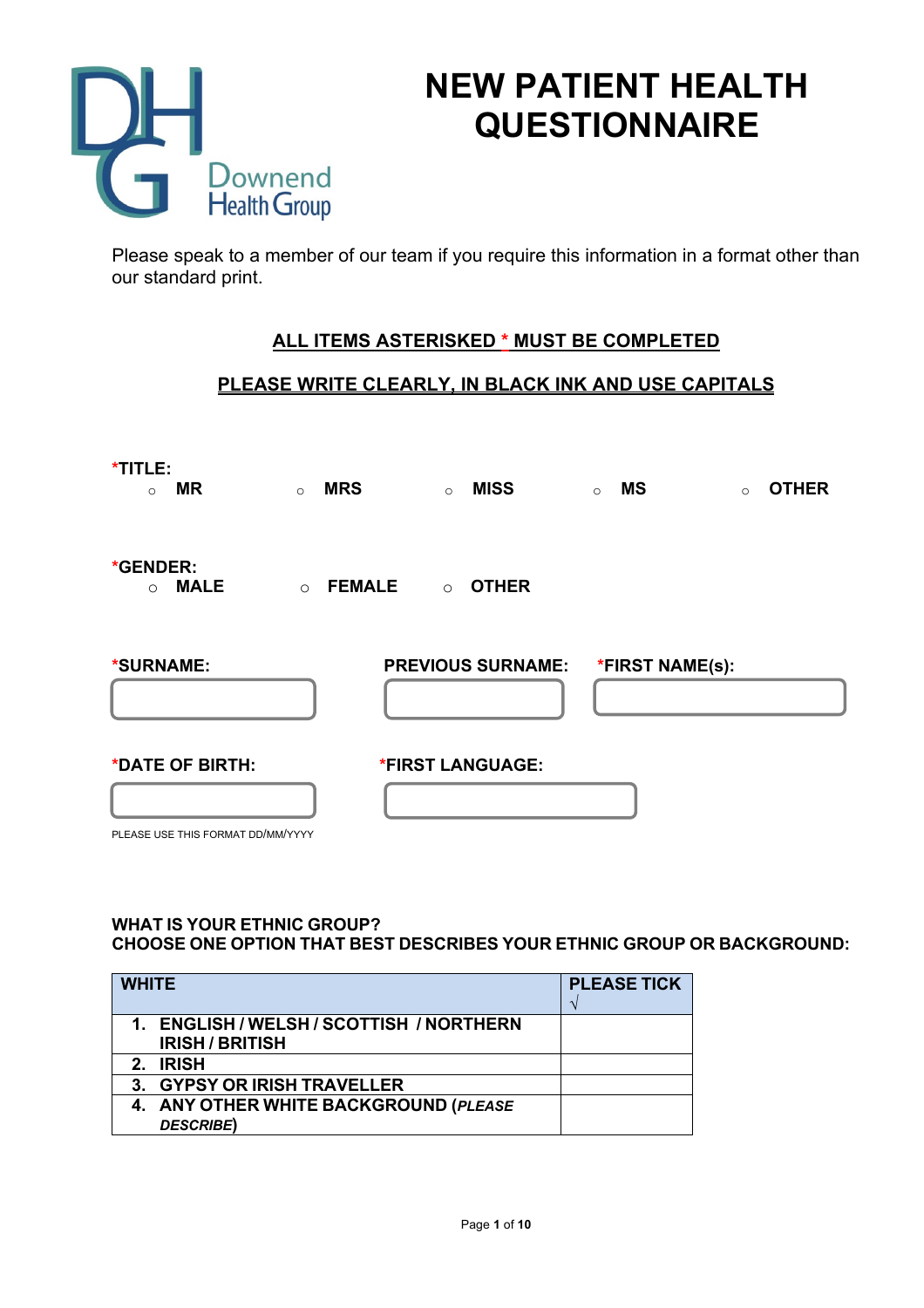

# **NEW PATIENT HEALTH QUESTIONNAIRE**

Please speak to a member of our team if you require this information in a format other than our standard print.

# **ALL ITEMS ASTERISKED \* MUST BE COMPLETED**

# **PLEASE WRITE CLEARLY, IN BLACK INK AND USE CAPITALS**

| *TITLE:<br><b>MR</b><br>$\circ$                      | <b>MRS</b><br>$\circ$    | $\circ$ | <b>MISS</b>                       | $\circ$ | <b>MS</b> | $\circ$ | <b>OTHER</b> |
|------------------------------------------------------|--------------------------|---------|-----------------------------------|---------|-----------|---------|--------------|
| *GENDER:<br><b>MALE</b><br>$\circ$                   | <b>FEMALE</b><br>$\circ$ | $\circ$ | <b>OTHER</b>                      |         |           |         |              |
| *SURNAME:                                            |                          |         | PREVIOUS SURNAME: *FIRST NAME(s): |         |           |         |              |
| *DATE OF BIRTH:<br>PLEASE USE THIS FORMAT DD/MM/YYYY |                          |         | *FIRST LANGUAGE:                  |         |           |         |              |

#### **WHAT IS YOUR ETHNIC GROUP? CHOOSE ONE OPTION THAT BEST DESCRIBES YOUR ETHNIC GROUP OR BACKGROUND:**

| <b>WHITE</b>                             | <b>PLEASE TICK</b> |
|------------------------------------------|--------------------|
| 1. ENGLISH / WELSH / SCOTTISH / NORTHERN |                    |
| <b>IRISH/BRITISH</b>                     |                    |
| <b>IRISH</b><br>$\mathbf{P}$             |                    |
| 3. GYPSY OR IRISH TRAVELLER              |                    |
| 4. ANY OTHER WHITE BACKGROUND (PLEASE    |                    |
| <b>DESCRIBE)</b>                         |                    |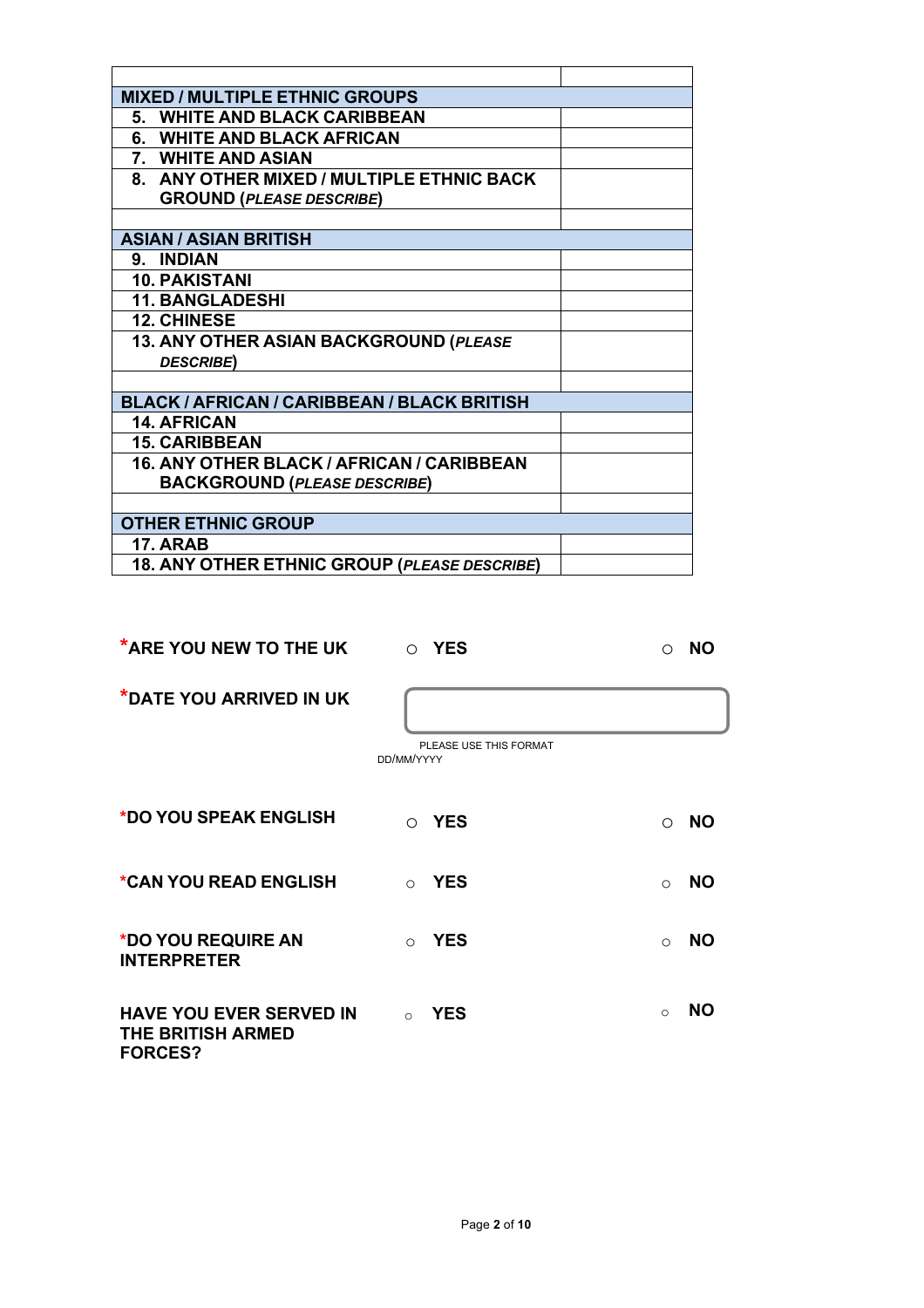| <b>MIXED / MULTIPLE ETHNIC GROUPS</b>        |  |
|----------------------------------------------|--|
| 5. WHITE AND BLACK CARIBBEAN                 |  |
| 6. WHITE AND BLACK AFRICAN                   |  |
| 7. WHITE AND ASIAN                           |  |
| 8. ANY OTHER MIXED / MULTIPLE ETHNIC BACK    |  |
| <b>GROUND (PLEASE DESCRIBE)</b>              |  |
|                                              |  |
| <b>ASIAN / ASIAN BRITISH</b>                 |  |
| 9. INDIAN                                    |  |
| <b>10. PAKISTANI</b>                         |  |
| <b>11. BANGLADESHI</b>                       |  |
| <b>12. CHINESE</b>                           |  |
| 13. ANY OTHER ASIAN BACKGROUND (PLEASE       |  |
| <b>DESCRIBE)</b>                             |  |
|                                              |  |
| BLACK / AFRICAN / CARIBBEAN / BLACK BRITISH  |  |
| <b>14. AFRICAN</b>                           |  |
| <b>15. CARIBBEAN</b>                         |  |
| 16. ANY OTHER BLACK / AFRICAN / CARIBBEAN    |  |
| <b>BACKGROUND (PLEASE DESCRIBE)</b>          |  |
|                                              |  |
| <b>OTHER ETHNIC GROUP</b>                    |  |
| <b>17. ARAB</b>                              |  |
| 18. ANY OTHER ETHNIC GROUP (PLEASE DESCRIBE) |  |

| <b>*ARE YOU NEW TO THE UK</b>                                                | O YES                                | <b>NO</b><br>∩          |
|------------------------------------------------------------------------------|--------------------------------------|-------------------------|
| *DATE YOU ARRIVED IN UK                                                      | PLEASE USE THIS FORMAT<br>DD/MM/YYYY |                         |
| *DO YOU SPEAK ENGLISH                                                        | O YES                                | <b>NO</b><br>$\bigcirc$ |
| *CAN YOU READ ENGLISH                                                        | <b>YES</b><br>$\cap$                 | <b>NO</b><br>$\bigcap$  |
| *DO YOU REQUIRE AN<br><b>INTERPRETER</b>                                     | <b>YES</b><br>$\cap$                 | <b>NO</b><br>$\bigcirc$ |
| <b>HAVE YOU EVER SERVED IN</b><br><b>THE BRITISH ARMED</b><br><b>FORCES?</b> | <b>YES</b><br>$\cap$                 | <b>NO</b><br>$\Omega$   |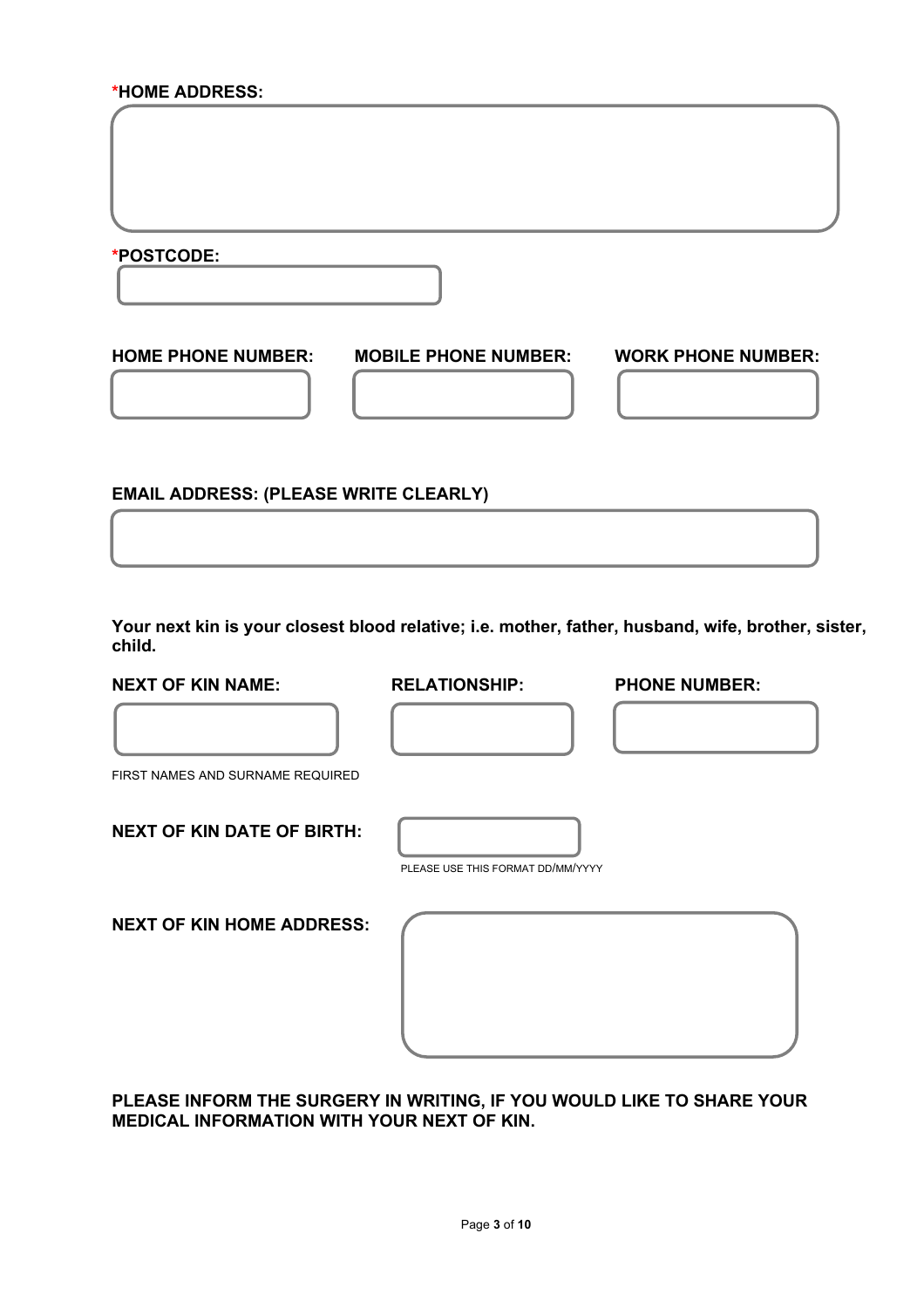#### **\*HOME ADDRESS:**

**\*POSTCODE:**

**HOME PHONE NUMBER: MOBILE PHONE NUMBER: WORK PHONE NUMBER:**

**EMAIL ADDRESS: (PLEASE WRITE CLEARLY)**

**Your next kin is your closest blood relative; i.e. mother, father, husband, wife, brother, sister, child.** 

#### **NEXT OF KIN NAME: RELATIONSHIP: PHONE NUMBER:**

Í

FIRST NAMES AND SURNAME REQUIRED

**NEXT OF KIN DATE OF BIRTH:**

PLEASE USE THIS FORMAT DD/MM/YYYY

**NEXT OF KIN HOME ADDRESS:**

**PLEASE INFORM THE SURGERY IN WRITING, IF YOU WOULD LIKE TO SHARE YOUR MEDICAL INFORMATION WITH YOUR NEXT OF KIN.**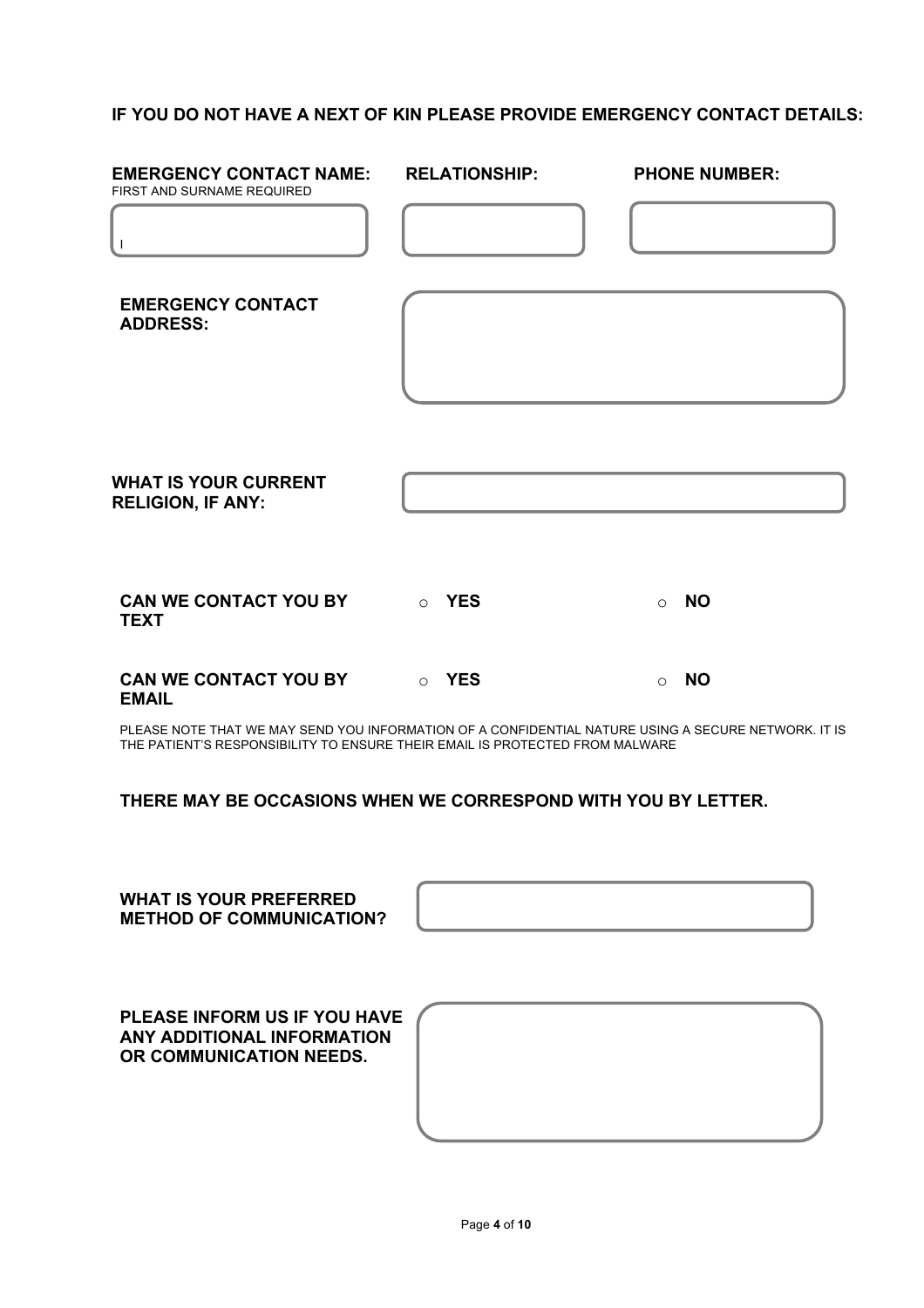# **IF YOU DO NOT HAVE A NEXT OF KIN PLEASE PROVIDE EMERGENCY CONTACT DETAILS:**

| <b>EMERGENCY CONTACT NAME:</b><br>FIRST AND SURNAME REQUIRED                                                                                                                        | <b>RELATIONSHIP:</b> |          | <b>PHONE NUMBER:</b> |
|-------------------------------------------------------------------------------------------------------------------------------------------------------------------------------------|----------------------|----------|----------------------|
| $\mathbf{I}$                                                                                                                                                                        |                      |          |                      |
| <b>EMERGENCY CONTACT</b><br><b>ADDRESS:</b>                                                                                                                                         |                      |          |                      |
| <b>WHAT IS YOUR CURRENT</b><br><b>RELIGION, IF ANY:</b>                                                                                                                             |                      |          |                      |
| <b>CAN WE CONTACT YOU BY</b><br><b>TEXT</b>                                                                                                                                         | <b>DES</b>           | $\Omega$ | <b>NO</b>            |
| <b>CAN WE CONTACT YOU BY</b><br><b>EMAIL</b>                                                                                                                                        | <b>O</b> YES         | $\circ$  | <b>NO</b>            |
| PLEASE NOTE THAT WE MAY SEND YOU INFORMATION OF A CONFIDENTIAL NATURE USING A SECURE NETWORK. IT IS<br>THE PATIENT'S RESPONSIBILITY TO ENSURE THEIR EMAIL IS PROTECTED FROM MALWARE |                      |          |                      |
| THERE MAY BE OCCASIONS WHEN WE CORRESPOND WITH YOU BY LETTER.                                                                                                                       |                      |          |                      |
| <b>WHAT IS YOUR PREFERRED</b>                                                                                                                                                       |                      |          |                      |

**METHOD OF COMMUNICATION?**

**PLEASE INFORM US IF YOU HAVE ANY ADDITIONAL INFORMATION OR COMMUNICATION NEEDS.**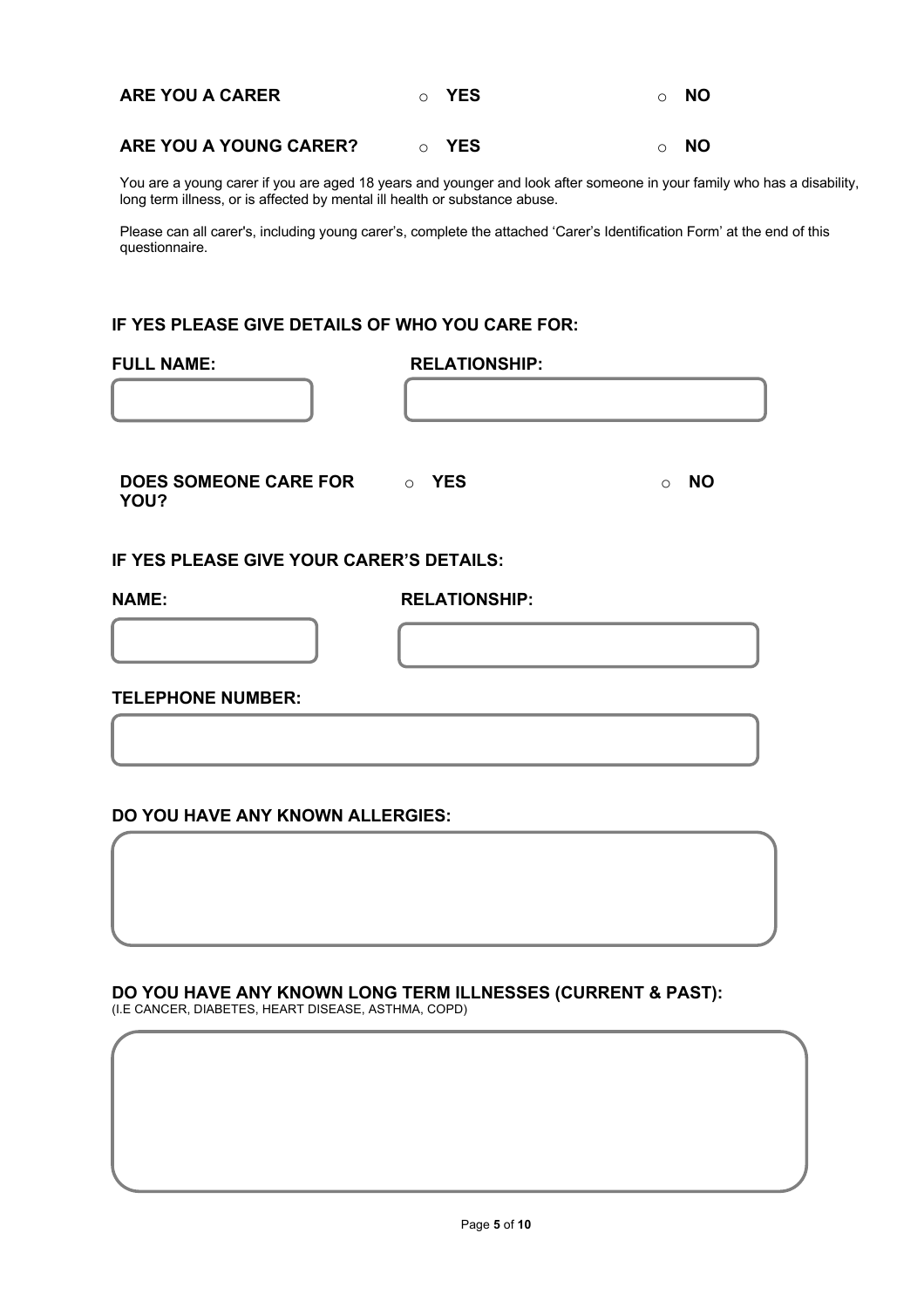| <b>ARE YOU A CARER</b> | ⊙ YES | ⊙ NO      |
|------------------------|-------|-----------|
| ARE YOU A YOUNG CARER? | YES   | <b>NO</b> |

You are a young carer if you are aged 18 years and younger and look after someone in your family who has a disability, long term illness, or is affected by mental ill health or substance abuse.

Please can all carer's, including young carer's, complete the attached 'Carer's Identification Form' at the end of this questionnaire.

#### **IF YES PLEASE GIVE DETAILS OF WHO YOU CARE FOR:**

| <b>FULL NAME:</b>                        | <b>RELATIONSHIP:</b> |                      |
|------------------------------------------|----------------------|----------------------|
|                                          |                      |                      |
| DOES SOMEONE CARE FOR ON YES<br>YOU?     |                      | <b>NO</b><br>$\circ$ |
| IF YES PLEASE GIVE YOUR CARER'S DETAILS: |                      |                      |
| <b>NAME:</b>                             | <b>RELATIONSHIP:</b> |                      |
|                                          |                      |                      |
| <b>TELEPHONE NUMBER:</b>                 |                      |                      |
|                                          |                      |                      |

#### **DO YOU HAVE ANY KNOWN ALLERGIES:**

# **DO YOU HAVE ANY KNOWN LONG TERM ILLNESSES (CURRENT & PAST):**

(I.E CANCER, DIABETES, HEART DISEASE, ASTHMA, COPD)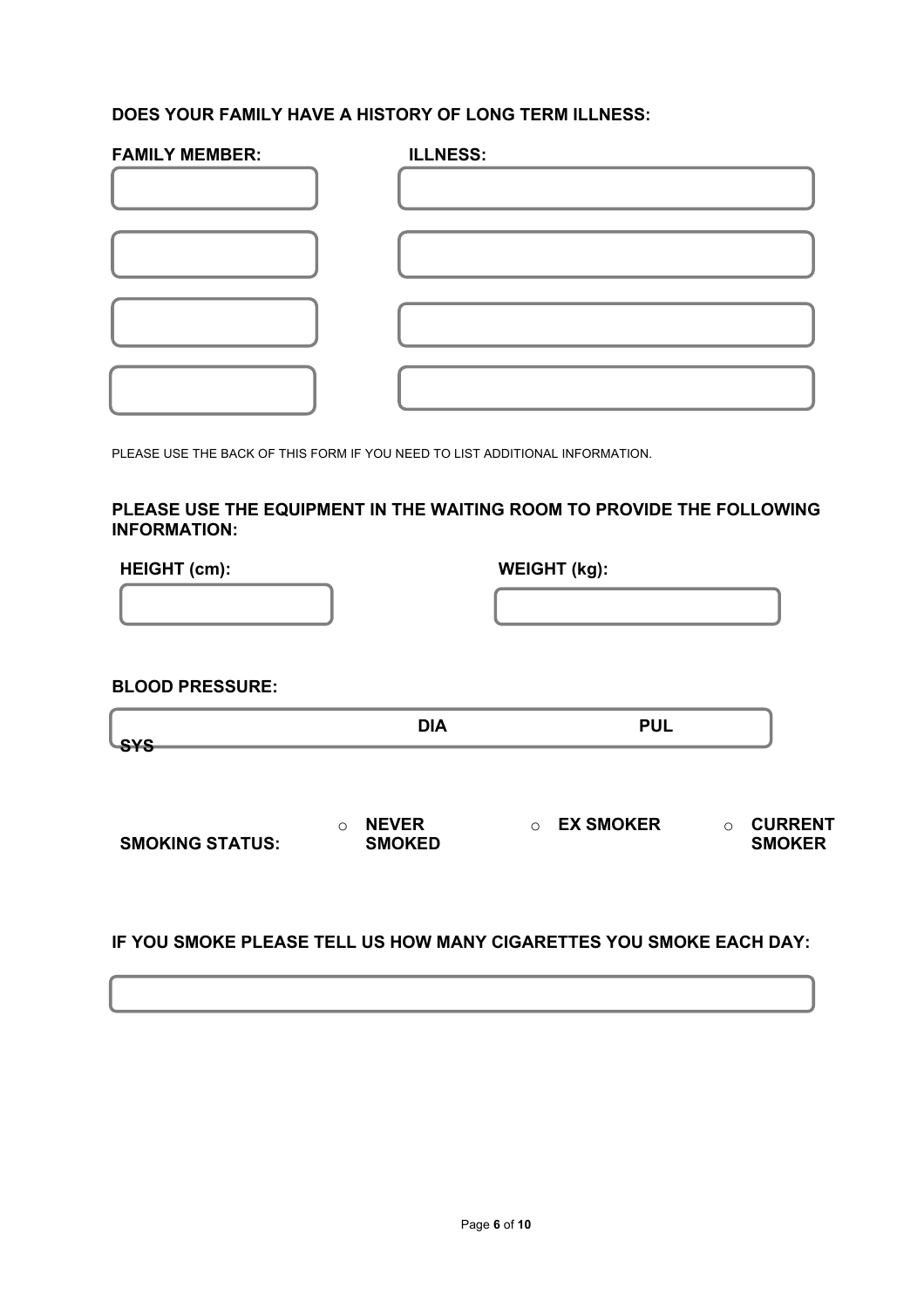# **DOES YOUR FAMILY HAVE A HISTORY OF LONG TERM ILLNESS:**

| <b>FAMILY MEMBER:</b> | <b>ILLNESS:</b> |
|-----------------------|-----------------|
|                       |                 |
|                       |                 |
|                       |                 |
|                       |                 |

PLEASE USE THE BACK OF THIS FORM IF YOU NEED TO LIST ADDITIONAL INFORMATION.

## **PLEASE USE THE EQUIPMENT IN THE WAITING ROOM TO PROVIDE THE FOLLOWING INFORMATION:**

| <b>HEIGHT</b> (cm):    |                                          | <b>WEIGHT (kg):</b>         |                                            |
|------------------------|------------------------------------------|-----------------------------|--------------------------------------------|
|                        |                                          |                             |                                            |
| <b>BLOOD PRESSURE:</b> |                                          |                             |                                            |
| <b>SYS</b>             | <b>DIA</b>                               | <b>PUL</b>                  |                                            |
| <b>SMOKING STATUS:</b> | <b>NEVER</b><br>$\circ$<br><b>SMOKED</b> | <b>EX SMOKER</b><br>$\circ$ | <b>CURRENT</b><br>$\circ$<br><b>SMOKER</b> |

# **IF YOU SMOKE PLEASE TELL US HOW MANY CIGARETTES YOU SMOKE EACH DAY:**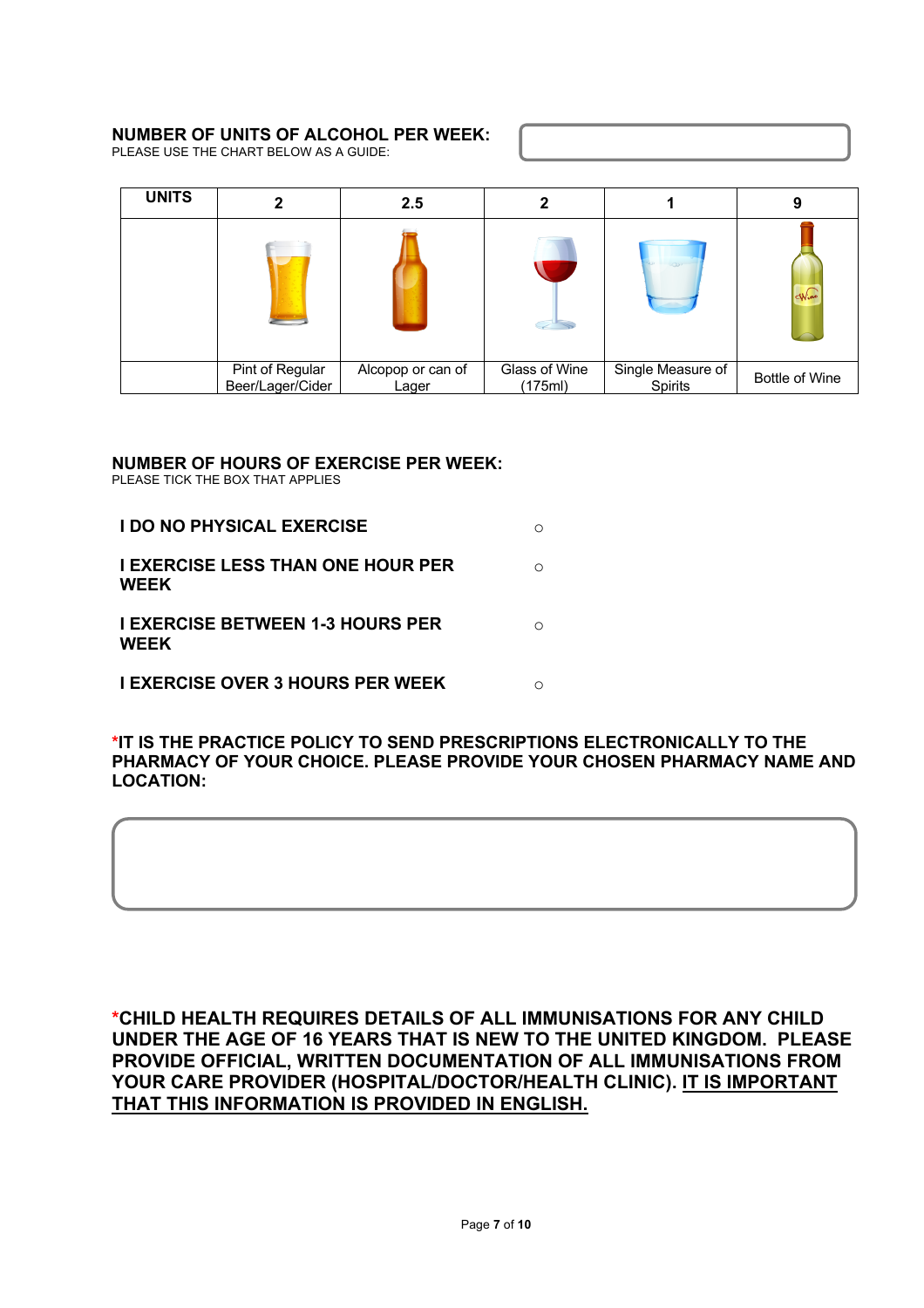#### **NUMBER OF UNITS OF ALCOHOL PER WEEK:**

PLEASE USE THE CHART BELOW AS A GUIDE:

| <b>UNITS</b> |                                     | 2.5                        |                          |                              | g                     |
|--------------|-------------------------------------|----------------------------|--------------------------|------------------------------|-----------------------|
|              |                                     |                            |                          | $\infty$                     | $d$ N $in$            |
|              | Pint of Regular<br>Beer/Lager/Cider | Alcopop or can of<br>Lager | Glass of Wine<br>(175ml) | Single Measure of<br>Spirits | <b>Bottle of Wine</b> |

## **NUMBER OF HOURS OF EXERCISE PER WEEK:**

PLEASE TICK THE BOX THAT APPLIES

| <b>I DO NO PHYSICAL EXERCISE</b>                        |  |
|---------------------------------------------------------|--|
| <b>I EXERCISE LESS THAN ONE HOUR PER</b><br><b>WEEK</b> |  |
| <b>I EXERCISE BETWEEN 1-3 HOURS PER</b><br><b>WEEK</b>  |  |
| <b>I EXERCISE OVER 3 HOURS PER WEEK</b>                 |  |

#### **\*IT IS THE PRACTICE POLICY TO SEND PRESCRIPTIONS ELECTRONICALLY TO THE PHARMACY OF YOUR CHOICE. PLEASE PROVIDE YOUR CHOSEN PHARMACY NAME AND LOCATION:**

**\*CHILD HEALTH REQUIRES DETAILS OF ALL IMMUNISATIONS FOR ANY CHILD UNDER THE AGE OF 16 YEARS THAT IS NEW TO THE UNITED KINGDOM. PLEASE PROVIDE OFFICIAL, WRITTEN DOCUMENTATION OF ALL IMMUNISATIONS FROM YOUR CARE PROVIDER (HOSPITAL/DOCTOR/HEALTH CLINIC). IT IS IMPORTANT THAT THIS INFORMATION IS PROVIDED IN ENGLISH.**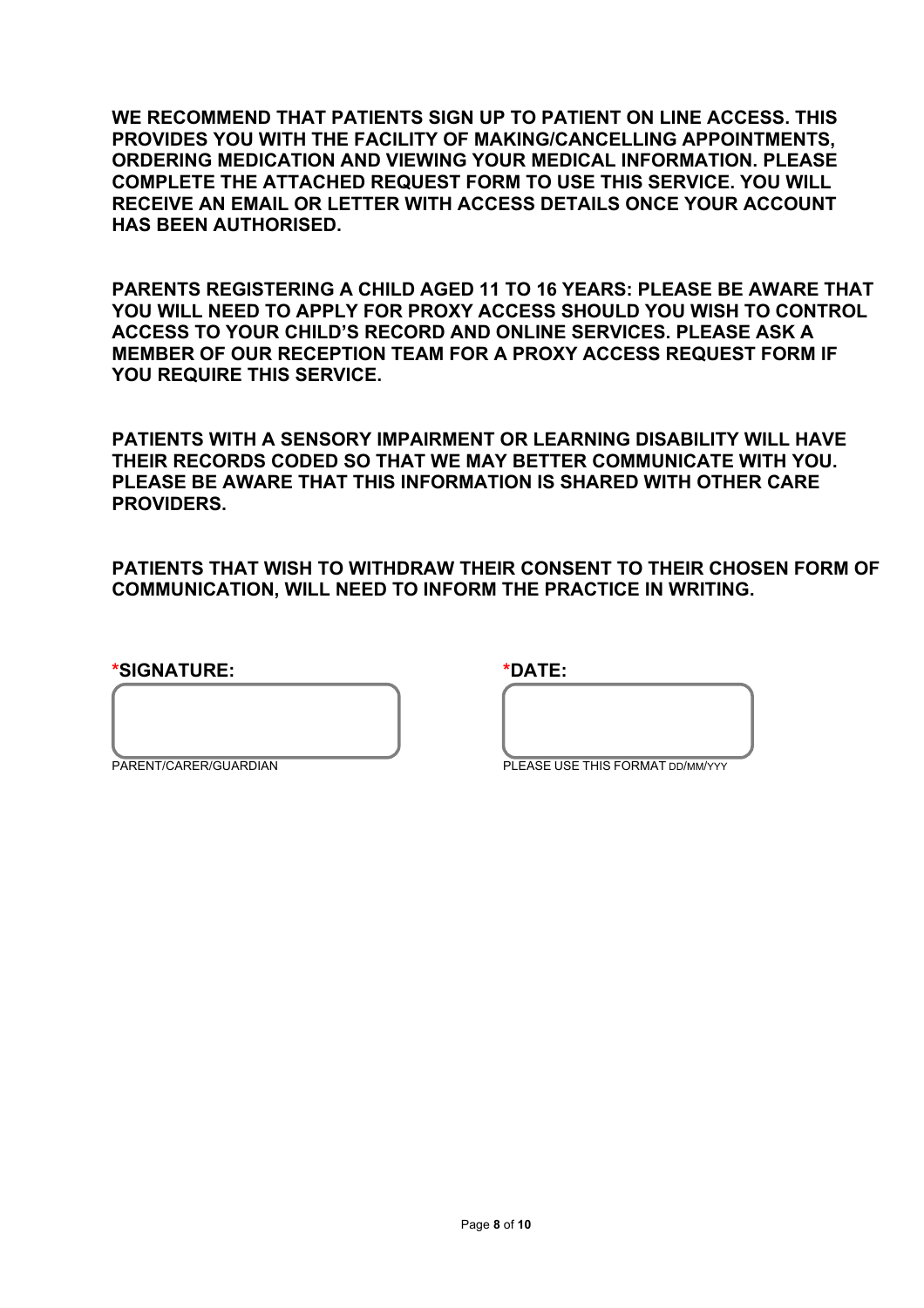**WE RECOMMEND THAT PATIENTS SIGN UP TO PATIENT ON LINE ACCESS. THIS PROVIDES YOU WITH THE FACILITY OF MAKING/CANCELLING APPOINTMENTS, ORDERING MEDICATION AND VIEWING YOUR MEDICAL INFORMATION. PLEASE COMPLETE THE ATTACHED REQUEST FORM TO USE THIS SERVICE. YOU WILL RECEIVE AN EMAIL OR LETTER WITH ACCESS DETAILS ONCE YOUR ACCOUNT HAS BEEN AUTHORISED.** 

**PARENTS REGISTERING A CHILD AGED 11 TO 16 YEARS: PLEASE BE AWARE THAT YOU WILL NEED TO APPLY FOR PROXY ACCESS SHOULD YOU WISH TO CONTROL ACCESS TO YOUR CHILD'S RECORD AND ONLINE SERVICES. PLEASE ASK A MEMBER OF OUR RECEPTION TEAM FOR A PROXY ACCESS REQUEST FORM IF YOU REQUIRE THIS SERVICE.**

**PATIENTS WITH A SENSORY IMPAIRMENT OR LEARNING DISABILITY WILL HAVE THEIR RECORDS CODED SO THAT WE MAY BETTER COMMUNICATE WITH YOU. PLEASE BE AWARE THAT THIS INFORMATION IS SHARED WITH OTHER CARE PROVIDERS.** 

**PATIENTS THAT WISH TO WITHDRAW THEIR CONSENT TO THEIR CHOSEN FORM OF COMMUNICATION, WILL NEED TO INFORM THE PRACTICE IN WRITING.** 

**\*SIGNATURE: \*DATE:**

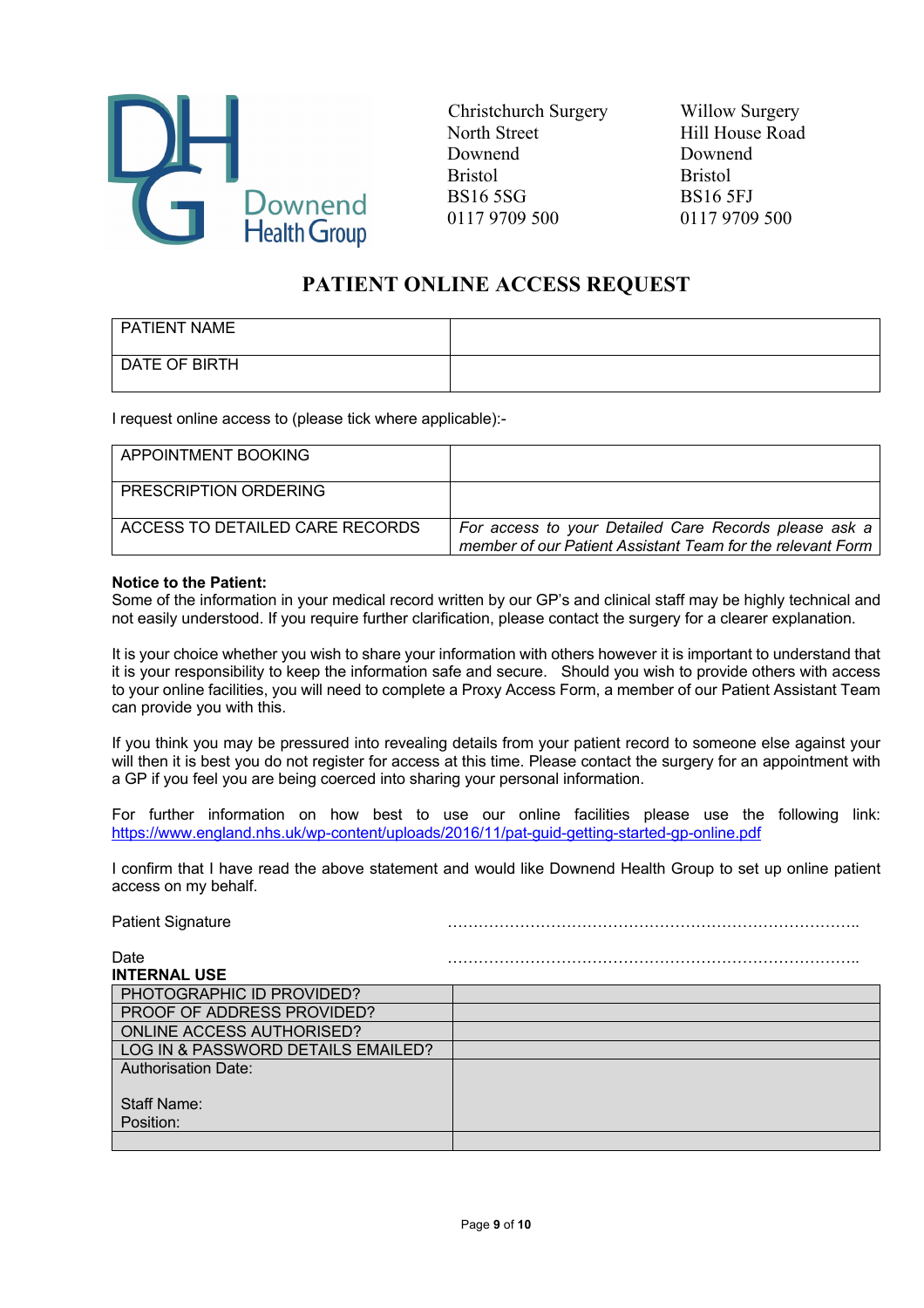

Christchurch Surgery Willow Surgery North Street Hill House Road Downend Downend Bristol Bristol BS16 5SG BS16 5FJ 0117 9709 500 0117 9709 500

# **PATIENT ONLINE ACCESS REQUEST**

| PATIENT NAME  |  |
|---------------|--|
| DATE OF BIRTH |  |

I request online access to (please tick where applicable):-

| APPOINTMENT BOOKING             |                                                                                                                     |
|---------------------------------|---------------------------------------------------------------------------------------------------------------------|
| PRESCRIPTION ORDERING           |                                                                                                                     |
| ACCESS TO DETAILED CARE RECORDS | For access to your Detailed Care Records please ask a<br>member of our Patient Assistant Team for the relevant Form |

#### **Notice to the Patient:**

Some of the information in your medical record written by our GP's and clinical staff may be highly technical and not easily understood. If you require further clarification, please contact the surgery for a clearer explanation.

It is your choice whether you wish to share your information with others however it is important to understand that it is your responsibility to keep the information safe and secure. Should you wish to provide others with access to your online facilities, you will need to complete a Proxy Access Form, a member of our Patient Assistant Team can provide you with this.

If you think you may be pressured into revealing details from your patient record to someone else against your will then it is best you do not register for access at this time. Please contact the surgery for an appointment with a GP if you feel you are being coerced into sharing your personal information.

For further information on how best to use our online facilities please use the following link: https://www.england.nhs.uk/wp-content/uploads/2016/11/pat-guid-getting-started-gp-online.pdf

I confirm that I have read the above statement and would like Downend Health Group to set up online patient access on my behalf.

Patient Signature ……………………………………………………………………..

| Date                               |  |
|------------------------------------|--|
| <b>INTERNAL USE</b>                |  |
| PHOTOGRAPHIC ID PROVIDED?          |  |
| <b>PROOF OF ADDRESS PROVIDED?</b>  |  |
| <b>ONLINE ACCESS AUTHORISED?</b>   |  |
| LOG IN & PASSWORD DETAILS EMAILED? |  |
| <b>Authorisation Date:</b>         |  |
|                                    |  |
| <b>Staff Name:</b>                 |  |
| Position:                          |  |
|                                    |  |